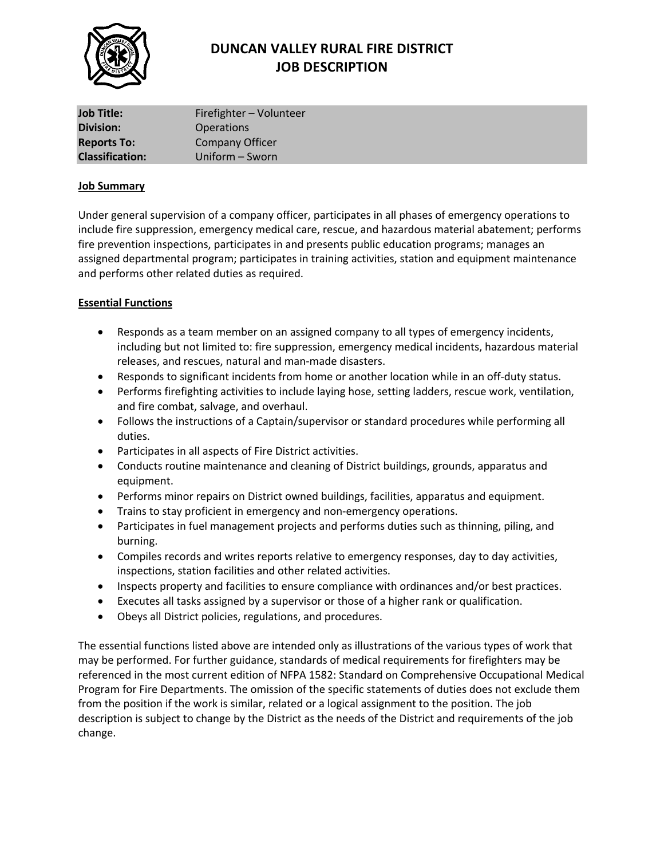

# **DUNCAN VALLEY RURAL FIRE DISTRICT JOB DESCRIPTION**

| <b>Job Title:</b>      | Firefighter - Volunteer |
|------------------------|-------------------------|
| <b>Division:</b>       | <b>Operations</b>       |
| <b>Reports To:</b>     | <b>Company Officer</b>  |
| <b>Classification:</b> | Uniform - Sworn         |

#### **Job Summary**

Under general supervision of a company officer, participates in all phases of emergency operations to include fire suppression, emergency medical care, rescue, and hazardous material abatement; performs fire prevention inspections, participates in and presents public education programs; manages an assigned departmental program; participates in training activities, station and equipment maintenance and performs other related duties as required.

### **Essential Functions**

- Responds as a team member on an assigned company to all types of emergency incidents, including but not limited to: fire suppression, emergency medical incidents, hazardous material releases, and rescues, natural and man-made disasters.
- Responds to significant incidents from home or another location while in an off-duty status.
- Performs firefighting activities to include laying hose, setting ladders, rescue work, ventilation, and fire combat, salvage, and overhaul.
- Follows the instructions of a Captain/supervisor or standard procedures while performing all duties.
- Participates in all aspects of Fire District activities.
- Conducts routine maintenance and cleaning of District buildings, grounds, apparatus and equipment.
- Performs minor repairs on District owned buildings, facilities, apparatus and equipment.
- Trains to stay proficient in emergency and non-emergency operations.
- Participates in fuel management projects and performs duties such as thinning, piling, and burning.
- Compiles records and writes reports relative to emergency responses, day to day activities, inspections, station facilities and other related activities.
- Inspects property and facilities to ensure compliance with ordinances and/or best practices.
- Executes all tasks assigned by a supervisor or those of a higher rank or qualification.
- Obeys all District policies, regulations, and procedures.

The essential functions listed above are intended only as illustrations of the various types of work that may be performed. For further guidance, standards of medical requirements for firefighters may be referenced in the most current edition of NFPA 1582: Standard on Comprehensive Occupational Medical Program for Fire Departments. The omission of the specific statements of duties does not exclude them from the position if the work is similar, related or a logical assignment to the position. The job description is subject to change by the District as the needs of the District and requirements of the job change.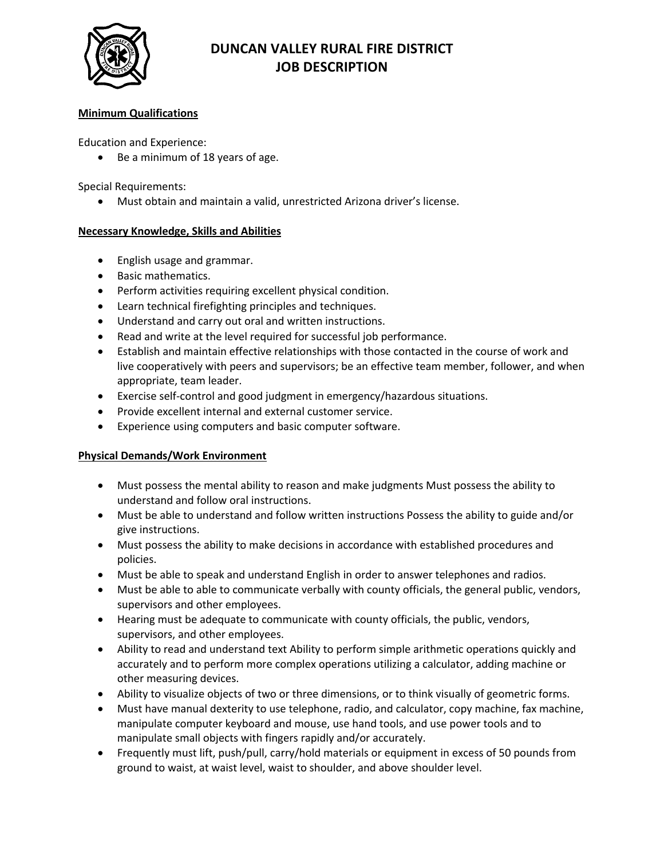

## **DUNCAN VALLEY RURAL FIRE DISTRICT JOB DESCRIPTION**

### **Minimum Qualifications**

Education and Experience:

• Be a minimum of 18 years of age.

Special Requirements:

• Must obtain and maintain a valid, unrestricted Arizona driver's license.

#### **Necessary Knowledge, Skills and Abilities**

- English usage and grammar.
- Basic mathematics.
- Perform activities requiring excellent physical condition.
- Learn technical firefighting principles and techniques.
- Understand and carry out oral and written instructions.
- Read and write at the level required for successful job performance.
- Establish and maintain effective relationships with those contacted in the course of work and live cooperatively with peers and supervisors; be an effective team member, follower, and when appropriate, team leader.
- Exercise self-control and good judgment in emergency/hazardous situations.
- Provide excellent internal and external customer service.
- Experience using computers and basic computer software.

### **Physical Demands/Work Environment**

- Must possess the mental ability to reason and make judgments Must possess the ability to understand and follow oral instructions.
- Must be able to understand and follow written instructions Possess the ability to guide and/or give instructions.
- Must possess the ability to make decisions in accordance with established procedures and policies.
- Must be able to speak and understand English in order to answer telephones and radios.
- Must be able to able to communicate verbally with county officials, the general public, vendors, supervisors and other employees.
- Hearing must be adequate to communicate with county officials, the public, vendors, supervisors, and other employees.
- Ability to read and understand text Ability to perform simple arithmetic operations quickly and accurately and to perform more complex operations utilizing a calculator, adding machine or other measuring devices.
- Ability to visualize objects of two or three dimensions, or to think visually of geometric forms.
- Must have manual dexterity to use telephone, radio, and calculator, copy machine, fax machine, manipulate computer keyboard and mouse, use hand tools, and use power tools and to manipulate small objects with fingers rapidly and/or accurately.
- Frequently must lift, push/pull, carry/hold materials or equipment in excess of 50 pounds from ground to waist, at waist level, waist to shoulder, and above shoulder level.